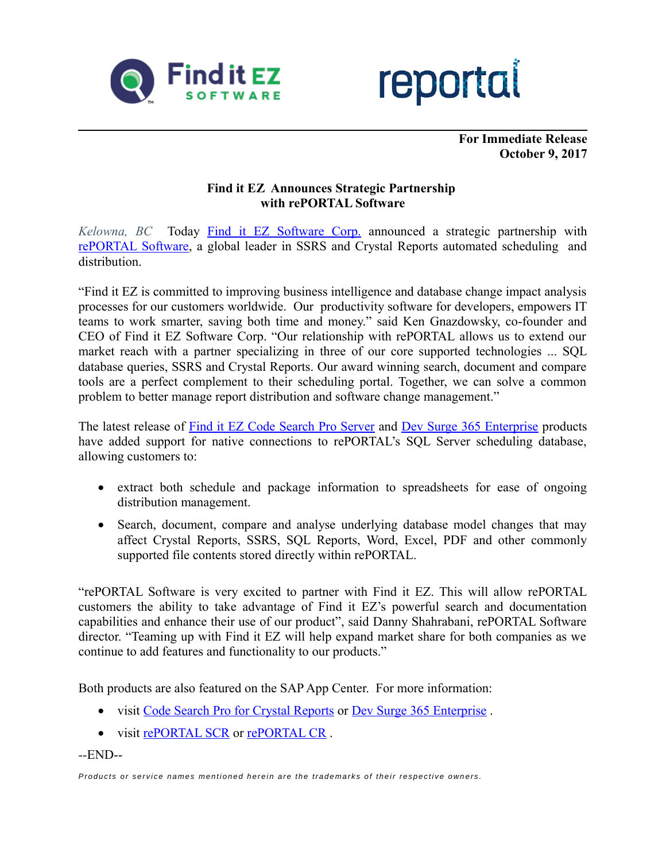



**For Immediate Release October 9, 2017**

## **Find it EZ Announces Strategic Partnership with rePORTAL Software**

*Kelowna, BC* Today [Find it EZ Software Corp.](https://www.finditez.com/) announced a strategic partnership with [rePORTAL Software,](https://www.reportalsoftware.com/) a global leader in SSRS and Crystal Reports automated scheduling and distribution.

"Find it EZ is committed to improving business intelligence and database change impact analysis processes for our customers worldwide. Our productivity software for developers, empowers IT teams to work smarter, saving both time and money." said Ken Gnazdowsky, co-founder and CEO of Find it EZ Software Corp. "Our relationship with rePORTAL allows us to extend our market reach with a partner specializing in three of our core supported technologies ... SQL database queries, SSRS and Crystal Reports. Our award winning search, document and compare tools are a perfect complement to their scheduling portal. Together, we can solve a common problem to better manage report distribution and software change management."

The latest release of [Find it EZ Code Search Pro Server](https://www.finditez.com/products/pro/server) and [Dev Surge 365 Enterprise](https://www.finditez.com/products/365/enterprise) products have added support for native connections to rePORTAL's SQL Server scheduling database, allowing customers to:

- extract both schedule and package information to spreadsheets for ease of ongoing distribution management.
- Search, document, compare and analyse underlying database model changes that may affect Crystal Reports, SSRS, SQL Reports, Word, Excel, PDF and other commonly supported file contents stored directly within rePORTAL.

"rePORTAL Software is very excited to partner with Find it EZ. This will allow rePORTAL customers the ability to take advantage of Find it EZ's powerful search and documentation capabilities and enhance their use of our product", said Danny Shahrabani, rePORTAL Software director. "Teaming up with Find it EZ will help expand market share for both companies as we continue to add features and functionality to our products."

Both products are also featured on the SAP App Center. For more information:

- visit [Code Search Pro for Crystal Reports](https://www.sapappcenter.com/apps/10277?source=newsletter-finditez-2017-10-09) or Dev Surge 365 Enterprise.
- visit [rePORTAL SCR](https://www.sapappcenter.com/apps/10511?source=newsletter-finditez-2017-10-09) or rePORTAL CR.

*--*END--

*Products or service names mentioned herein are the trademarks of their respective owners.*